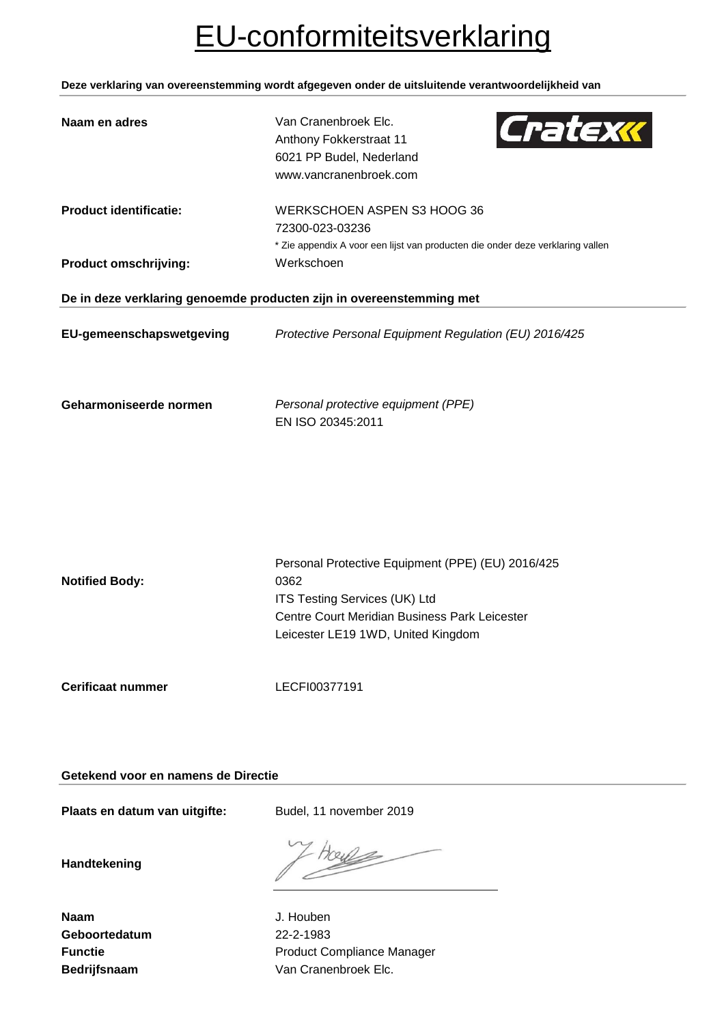# EU-conformiteitsverklaring

**Deze verklaring van overeenstemming wordt afgegeven onder de uitsluitende verantwoordelijkheid van**

| Naam en adres                                                        | Cratexx<br>Van Cranenbroek Elc.<br>Anthony Fokkerstraat 11<br>6021 PP Budel, Nederland<br>www.vancranenbroek.com                                                                         |  |  |
|----------------------------------------------------------------------|------------------------------------------------------------------------------------------------------------------------------------------------------------------------------------------|--|--|
| <b>Product identificatie:</b><br><b>Product omschrijving:</b>        | WERKSCHOEN ASPEN S3 HOOG 36<br>72300-023-03236<br>* Zie appendix A voor een lijst van producten die onder deze verklaring vallen<br>Werkschoen                                           |  |  |
| De in deze verklaring genoemde producten zijn in overeenstemming met |                                                                                                                                                                                          |  |  |
| EU-gemeenschapswetgeving                                             | Protective Personal Equipment Regulation (EU) 2016/425                                                                                                                                   |  |  |
| Geharmoniseerde normen                                               | Personal protective equipment (PPE)<br>EN ISO 20345:2011                                                                                                                                 |  |  |
|                                                                      |                                                                                                                                                                                          |  |  |
| <b>Notified Body:</b>                                                | Personal Protective Equipment (PPE) (EU) 2016/425<br>0362<br><b>ITS Testing Services (UK) Ltd</b><br>Centre Court Meridian Business Park Leicester<br>Leicester LE19 1WD, United Kingdom |  |  |
| <b>Cerificaat nummer</b>                                             | LECFI00377191                                                                                                                                                                            |  |  |

**Getekend voor en namens de Directie**

Plaats en datum van uitgifte: Budel, 11 november 2019

**Handtekening**

**Naam** J. Houben **Geboortedatum** 22-2-1983

**Functie Functie Function Product Compliance Manager** Bedrijfsnaam **Van Cranenbroek Elc.**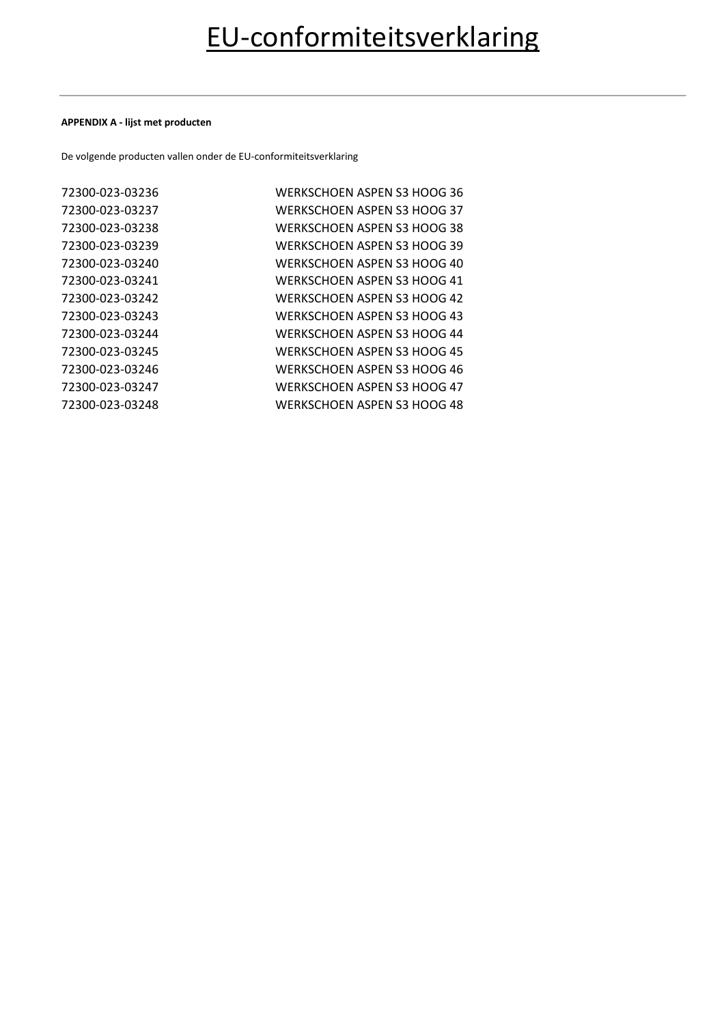### **APPENDIX A - lijst met producten**

De volgende producten vallen onder de EU-conformiteitsverklaring

| 72300-023-03236 | WERKSCHOEN ASPEN S3 HOOG 36        |
|-----------------|------------------------------------|
| 72300-023-03237 | WERKSCHOEN ASPEN S3 HOOG 37        |
| 72300-023-03238 | WERKSCHOEN ASPEN S3 HOOG 38        |
| 72300-023-03239 | WERKSCHOEN ASPEN S3 HOOG 39        |
| 72300-023-03240 | WERKSCHOEN ASPEN S3 HOOG 40        |
| 72300-023-03241 | WERKSCHOEN ASPEN S3 HOOG 41        |
| 72300-023-03242 | WERKSCHOEN ASPEN S3 HOOG 42        |
| 72300-023-03243 | WERKSCHOEN ASPEN S3 HOOG 43        |
| 72300-023-03244 | WERKSCHOEN ASPEN S3 HOOG 44        |
| 72300-023-03245 | <b>WERKSCHOEN ASPEN S3 HOOG 45</b> |
| 72300-023-03246 | WERKSCHOEN ASPEN S3 HOOG 46        |
| 72300-023-03247 | WERKSCHOEN ASPEN S3 HOOG 47        |
| 72300-023-03248 | WERKSCHOEN ASPEN S3 HOOG 48        |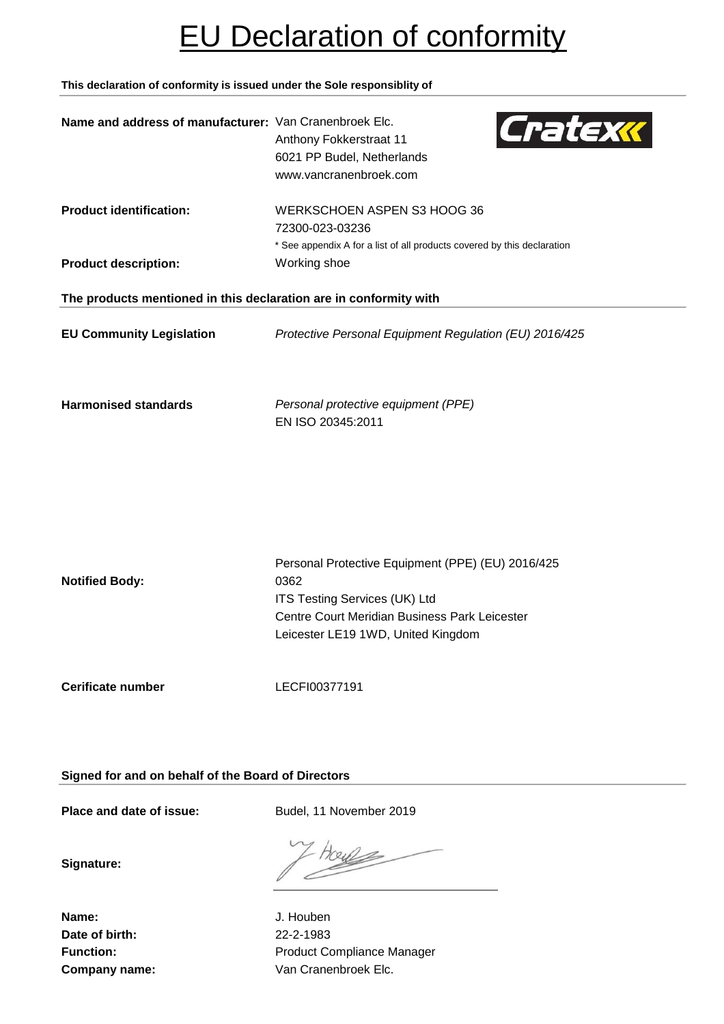# EU Declaration of conformity

**This declaration of conformity is issued under the Sole responsiblity of**

| Name and address of manufacturer: Van Cranenbroek Elc.            | Cratexx<br>Anthony Fokkerstraat 11<br>6021 PP Budel, Netherlands<br>www.vancranenbroek.com                                                                                        |
|-------------------------------------------------------------------|-----------------------------------------------------------------------------------------------------------------------------------------------------------------------------------|
| <b>Product identification:</b>                                    | WERKSCHOEN ASPEN S3 HOOG 36<br>72300-023-03236<br>* See appendix A for a list of all products covered by this declaration                                                         |
| <b>Product description:</b>                                       | Working shoe                                                                                                                                                                      |
| The products mentioned in this declaration are in conformity with |                                                                                                                                                                                   |
| <b>EU Community Legislation</b>                                   | Protective Personal Equipment Regulation (EU) 2016/425                                                                                                                            |
| <b>Harmonised standards</b>                                       | Personal protective equipment (PPE)<br>EN ISO 20345:2011                                                                                                                          |
| <b>Notified Body:</b>                                             | Personal Protective Equipment (PPE) (EU) 2016/425<br>0362<br>ITS Testing Services (UK) Ltd<br>Centre Court Meridian Business Park Leicester<br>Leicester LE19 1WD, United Kingdom |
| Cerificate number                                                 | LECFI00377191                                                                                                                                                                     |

**Signed for and on behalf of the Board of Directors**

Place and date of issue: Budel, 11 November 2019

**Signature:**

**Name:** J. Houben **Date of birth:** 22-2-1983

OU

Function: **Function:** Product Compliance Manager **Company name:** Van Cranenbroek Elc.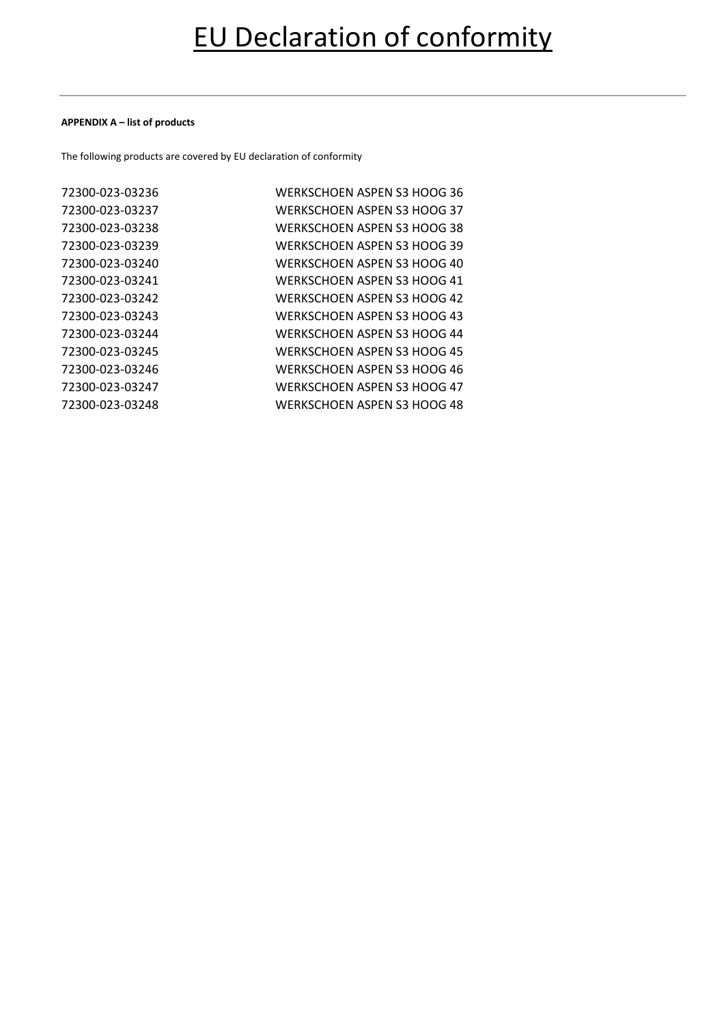### **APPENDIX A – list of products**

The following products are covered by EU declaration of conformity

| 72300-023-03236 | WERKSCHOEN ASPEN S3 HOOG 36 |
|-----------------|-----------------------------|
| 72300-023-03237 | WERKSCHOEN ASPEN S3 HOOG 37 |
| 72300-023-03238 | WERKSCHOEN ASPEN S3 HOOG 38 |
| 72300-023-03239 | WERKSCHOEN ASPEN S3 HOOG 39 |
| 72300-023-03240 | WERKSCHOEN ASPEN S3 HOOG 40 |
| 72300-023-03241 | WERKSCHOEN ASPEN S3 HOOG 41 |
| 72300-023-03242 | WERKSCHOEN ASPEN S3 HOOG 42 |
| 72300-023-03243 | WERKSCHOEN ASPEN S3 HOOG 43 |
| 72300-023-03244 | WERKSCHOEN ASPEN S3 HOOG 44 |
| 72300-023-03245 | WERKSCHOEN ASPEN S3 HOOG 45 |
| 72300-023-03246 | WERKSCHOEN ASPEN S3 HOOG 46 |
| 72300-023-03247 | WERKSCHOEN ASPEN S3 HOOG 47 |
| 72300-023-03248 | WERKSCHOEN ASPEN S3 HOOG 48 |
|                 |                             |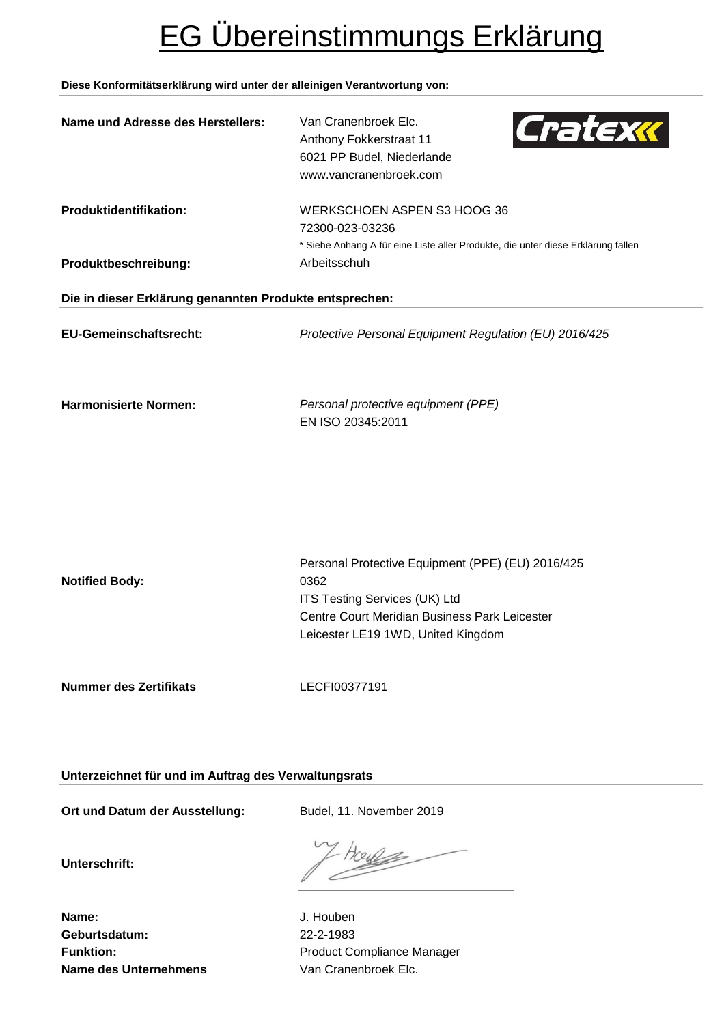# EG Übereinstimmungs Erklärung

# **Diese Konformitätserklärung wird unter der alleinigen Verantwortung von:**

| Name und Adresse des Herstellers:                                               | Cratexx<br>Van Cranenbroek Elc.<br>Anthony Fokkerstraat 11<br>6021 PP Budel, Niederlande<br>www.vancranenbroek.com                                                                |  |
|---------------------------------------------------------------------------------|-----------------------------------------------------------------------------------------------------------------------------------------------------------------------------------|--|
| Produktidentifikation:                                                          | WERKSCHOEN ASPEN S3 HOOG 36<br>72300-023-03236<br>* Siehe Anhang A für eine Liste aller Produkte, die unter diese Erklärung fallen                                                |  |
| Produktbeschreibung:<br>Die in dieser Erklärung genannten Produkte entsprechen: | Arbeitsschuh                                                                                                                                                                      |  |
|                                                                                 |                                                                                                                                                                                   |  |
| <b>EU-Gemeinschaftsrecht:</b>                                                   | Protective Personal Equipment Regulation (EU) 2016/425                                                                                                                            |  |
| <b>Harmonisierte Normen:</b>                                                    | Personal protective equipment (PPE)<br>EN ISO 20345:2011                                                                                                                          |  |
| <b>Notified Body:</b>                                                           | Personal Protective Equipment (PPE) (EU) 2016/425<br>0362<br>ITS Testing Services (UK) Ltd<br>Centre Court Meridian Business Park Leicester<br>Leicester LE19 1WD, United Kingdom |  |
| <b>Nummer des Zertifikats</b>                                                   | LECFI00377191                                                                                                                                                                     |  |
|                                                                                 |                                                                                                                                                                                   |  |

**Unterzeichnet für und im Auftrag des Verwaltungsrats**

Ort und Datum der Ausstellung: Budel, 11. November 2019

**Unterschrift:**

70246

**Name:** J. Houben **Geburtsdatum:** 22-2-1983 **Name des Unternehmens** Van Cranenbroek Elc.

Funktion: **Funktion:** Product Compliance Manager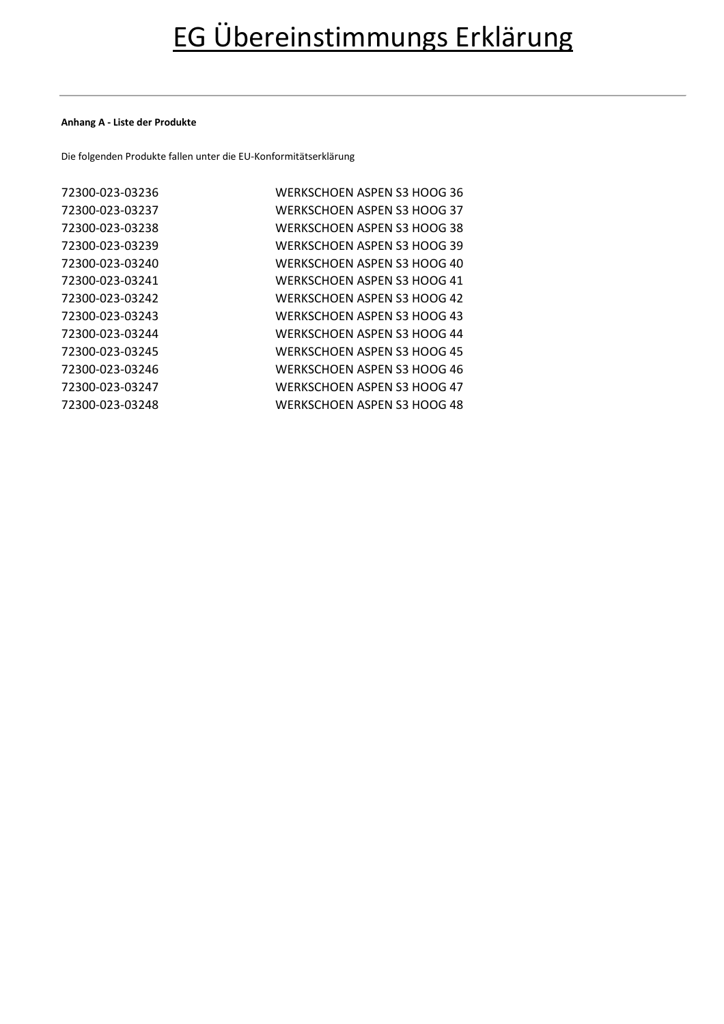## **Anhang A - Liste der Produkte**

Die folgenden Produkte fallen unter die EU-Konformitätserklärung

| 72300-023-03236 | WERKSCHOEN ASPEN S3 HOOG 36 |
|-----------------|-----------------------------|
| 72300-023-03237 | WERKSCHOEN ASPEN S3 HOOG 37 |
| 72300-023-03238 | WERKSCHOEN ASPEN S3 HOOG 38 |
| 72300-023-03239 | WERKSCHOEN ASPEN S3 HOOG 39 |
| 72300-023-03240 | WERKSCHOEN ASPEN S3 HOOG 40 |
| 72300-023-03241 | WERKSCHOEN ASPEN S3 HOOG 41 |
| 72300-023-03242 | WERKSCHOEN ASPEN S3 HOOG 42 |
| 72300-023-03243 | WERKSCHOEN ASPEN S3 HOOG 43 |
| 72300-023-03244 | WERKSCHOEN ASPEN S3 HOOG 44 |
| 72300-023-03245 | WERKSCHOEN ASPEN S3 HOOG 45 |
| 72300-023-03246 | WERKSCHOEN ASPEN S3 HOOG 46 |
| 72300-023-03247 | WERKSCHOEN ASPEN S3 HOOG 47 |
| 72300-023-03248 | WERKSCHOEN ASPEN S3 HOOG 48 |
|                 |                             |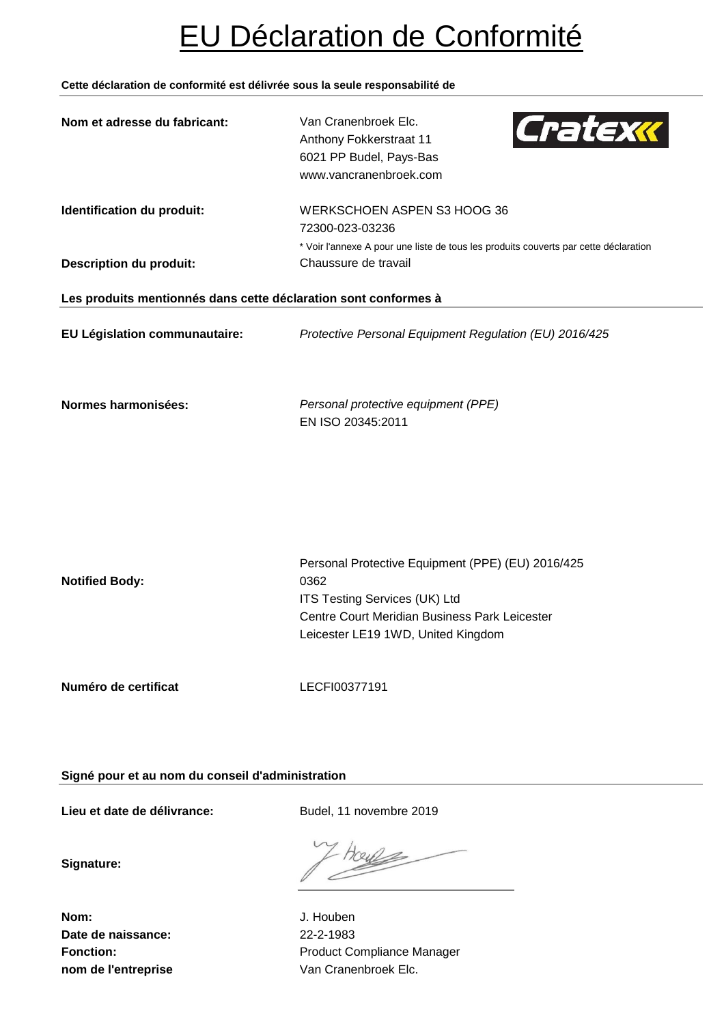# EU Déclaration de Conformité

## **Cette déclaration de conformité est délivrée sous la seule responsabilité de**

| Nom et adresse du fabricant:                                    | Cratexx<br>Van Cranenbroek Elc.<br>Anthony Fokkerstraat 11<br>6021 PP Budel, Pays-Bas<br>www.vancranenbroek.com                                                                   |
|-----------------------------------------------------------------|-----------------------------------------------------------------------------------------------------------------------------------------------------------------------------------|
| Identification du produit:<br><b>Description du produit:</b>    | <b>WERKSCHOEN ASPEN S3 HOOG 36</b><br>72300-023-03236<br>* Voir l'annexe A pour une liste de tous les produits couverts par cette déclaration<br>Chaussure de travail             |
| Les produits mentionnés dans cette déclaration sont conformes à |                                                                                                                                                                                   |
| EU Législation communautaire:                                   | Protective Personal Equipment Regulation (EU) 2016/425                                                                                                                            |
| Normes harmonisées:                                             | Personal protective equipment (PPE)<br>EN ISO 20345:2011                                                                                                                          |
| <b>Notified Body:</b>                                           | Personal Protective Equipment (PPE) (EU) 2016/425<br>0362<br>ITS Testing Services (UK) Ltd<br>Centre Court Meridian Business Park Leicester<br>Leicester LE19 1WD, United Kingdom |
| Numéro de certificat                                            | LECFI00377191                                                                                                                                                                     |

**Signé pour et au nom du conseil d'administration**

**Lieu et date de délivrance:** Budel, 11 novembre 2019

**Signature:**

ceye

**Nom:** J. Houben **Date de naissance:** 22-2-1983

Fonction: **Fonction:** Product Compliance Manager **nom de l'entreprise** Van Cranenbroek Elc.